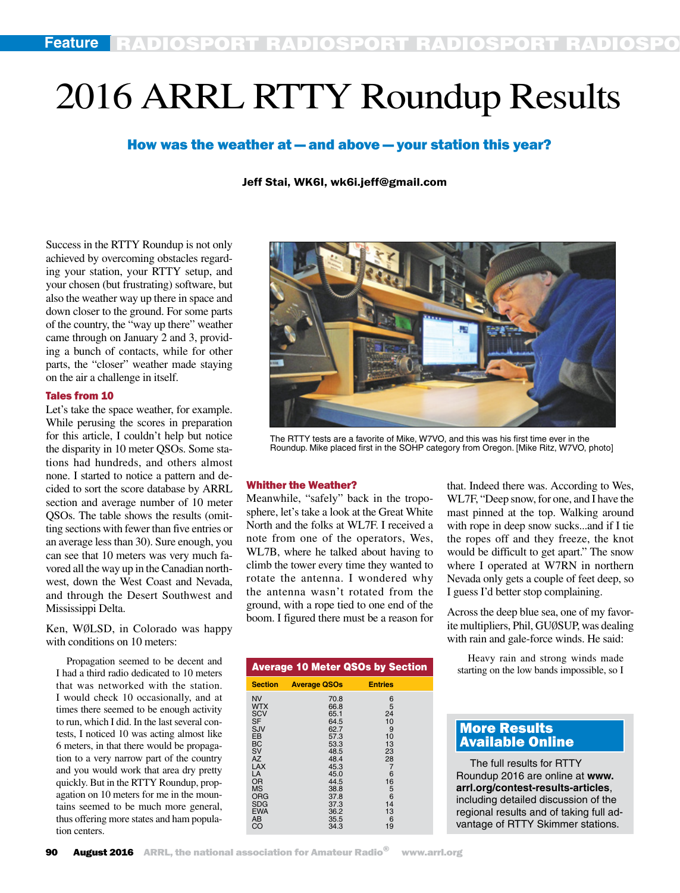# 2016 ARRL RTTY Roundup Results

# How was the weather at — and above — your station this year?

## Jeff Stai, WK6I, wk6i.jeff@gmail.com

Success in the RTTY Roundup is not only achieved by overcoming obstacles regarding your station, your RTTY setup, and your chosen (but frustrating) software, but also the weather way up there in space and down closer to the ground. For some parts of the country, the "way up there" weather came through on January 2 and 3, providing a bunch of contacts, while for other parts, the "closer" weather made staying on the air a challenge in itself.

#### Tales from 10

Let's take the space weather, for example. While perusing the scores in preparation for this article, I couldn't help but notice the disparity in 10 meter QSOs. Some stations had hundreds, and others almost none. I started to notice a pattern and decided to sort the score database by ARRL section and average number of 10 meter QSOs. The table shows the results (omitting sections with fewer than five entries or an average less than 30). Sure enough, you can see that 10 meters was very much favored all the way up in the Canadian northwest, down the West Coast and Nevada, and through the Desert Southwest and Mississippi Delta.

Ken, WØLSD, in Colorado was happy with conditions on 10 meters:

Propagation seemed to be decent and I had a third radio dedicated to 10 meters that was networked with the station. I would check 10 occasionally, and at times there seemed to be enough activity to run, which I did. In the last several contests, I noticed 10 was acting almost like 6 meters, in that there would be propagation to a very narrow part of the country and you would work that area dry pretty quickly. But in the RTTY Roundup, propagation on 10 meters for me in the mountains seemed to be much more general, thus offering more states and ham population centers.



The RTTY tests are a favorite of Mike, W7VO, and this was his first time ever in the Roundup. Mike placed first in the SOHP category from Oregon. [Mike Ritz, W7VO, photo]

#### Whither the Weather?

Meanwhile, "safely" back in the troposphere, let's take a look at the Great White North and the folks at WL7F. I received a note from one of the operators, Wes, WL7B, where he talked about having to climb the tower every time they wanted to rotate the antenna. I wondered why the antenna wasn't rotated from the ground, with a rope tied to one end of the boom. I figured there must be a reason for

| <b>Average 10 Meter QSOs by Section</b>                                                                                                                                                      |                                                                                                                                              |                                                                                                               |  |
|----------------------------------------------------------------------------------------------------------------------------------------------------------------------------------------------|----------------------------------------------------------------------------------------------------------------------------------------------|---------------------------------------------------------------------------------------------------------------|--|
| <b>Section</b>                                                                                                                                                                               | <b>Average QSOs</b>                                                                                                                          | <b>Entries</b>                                                                                                |  |
| <b>NV</b><br><b>WTX</b><br><b>SCV</b><br><b>SF</b><br>SJV<br>EB<br><b>BC</b><br>SV<br><b>AZ</b><br><b>LAX</b><br>LA<br>OR<br><b>MS</b><br><b>ORG</b><br><b>SDG</b><br><b>EWA</b><br>AB<br>CO | 70.8<br>66.8<br>65.1<br>64.5<br>62.7<br>57.3<br>53.3<br>48.5<br>48.4<br>45.3<br>45.0<br>44.5<br>38.8<br>37.8<br>37.3<br>36.2<br>35.5<br>34.3 | 6<br>5<br>24<br>10<br>9<br>10<br>13<br>23<br>28<br>$\overline{7}$<br>6<br>16<br>5<br>6<br>14<br>13<br>6<br>19 |  |

that. Indeed there was. According to Wes, WL7F, "Deep snow, for one, and I have the mast pinned at the top. Walking around with rope in deep snow sucks...and if I tie the ropes off and they freeze, the knot would be difficult to get apart." The snow where I operated at W7RN in northern Nevada only gets a couple of feet deep, so I guess I'd better stop complaining.

Across the deep blue sea, one of my favorite multipliers, Phil, GUØSUP, was dealing with rain and gale-force winds. He said:

Heavy rain and strong winds made starting on the low bands impossible, so I

# More Results Available Online

The full results for RTTY Roundup 2016 are online at **www. arrl.org/contest-results-articles**, including detailed discussion of the regional results and of taking full advantage of RTTY Skimmer stations.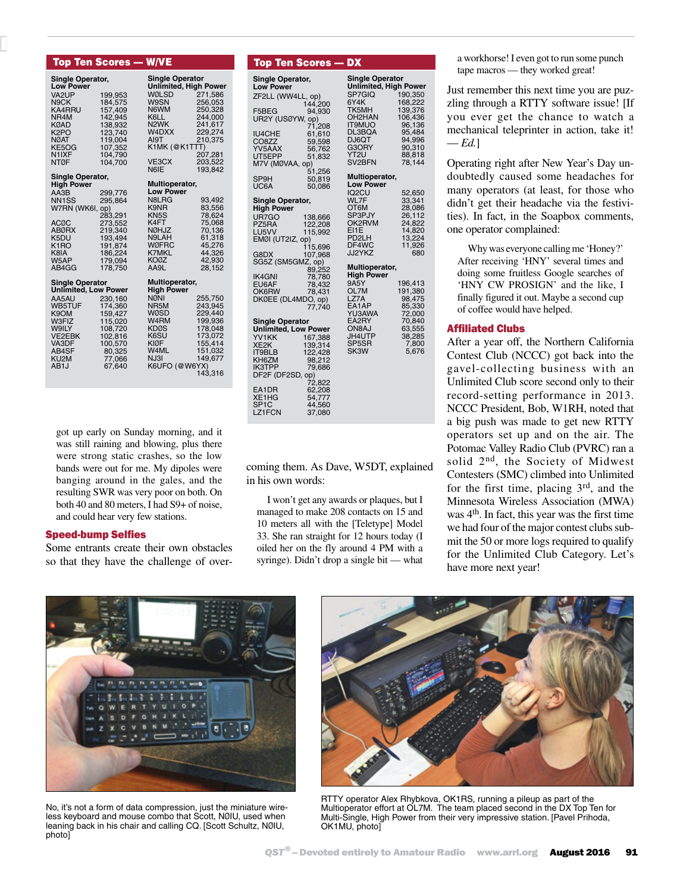|                                        | Top Ten Sco <u>res — W/VE</u> |                           |                                                 |  |  |
|----------------------------------------|-------------------------------|---------------------------|-------------------------------------------------|--|--|
| Single Operator,<br><b>Low Power</b>   |                               |                           | <b>Single Operator</b><br>Unlimited, High Power |  |  |
| VA2UP                                  | 199,953                       | WØLSD                     | 271,586                                         |  |  |
| N9CK                                   | 184,575                       | W9SN                      | 256,053                                         |  |  |
| KA4RRU                                 | 157,409                       | N6WM                      | 250,328                                         |  |  |
| NR4M<br><b>KØAD</b>                    | 142,945<br>138,932            | K6LL<br>N <sub>2</sub> WK | 244,000<br>241,617                              |  |  |
| K <sub>2</sub> PO                      | 123,740                       | W4DXX                     | 229,274                                         |  |  |
| <b>NØAT</b>                            | 119,004                       | AI9T                      | 210,375                                         |  |  |
| KE5OG                                  | 107,352                       | K1MK (@K1TTT)             |                                                 |  |  |
| N <sub>1</sub> IXF                     | 104,790                       |                           | 207,281                                         |  |  |
| <b>NTØF</b>                            | 104,700                       | VE3CX                     | 203,522                                         |  |  |
| Single Operator,                       |                               | N <sub>6</sub> IE         | 193,842                                         |  |  |
| <b>High Power</b>                      |                               | Multioperator,            |                                                 |  |  |
| AA3B                                   | 299,776                       | <b>Low Power</b>          |                                                 |  |  |
| NN <sub>1</sub> SS                     | 295,864                       | N8LRG                     | 93,492                                          |  |  |
| W7RN (WK6I, op)                        |                               | K9NR                      | 83,556                                          |  |  |
|                                        | 283,291                       | KN <sub>5</sub> S         | 78,624                                          |  |  |
| <b>ACØC</b>                            | 273,552                       | K4FT                      | 75,068                                          |  |  |
| ABØRX<br>K <sub>5</sub> DU             | 219,340<br>193,494            | NØHJZ<br>N9LAH            | 70,136<br>61,318                                |  |  |
| K <sub>1</sub> RO                      | 191,874                       | <b>WØFRC</b>              | 45,276                                          |  |  |
| K8IA                                   | 186,224                       | <b>K7MKL</b>              | 44,326                                          |  |  |
| W5AP                                   | 179,094                       | <b>KOØZ</b>               | 42,930                                          |  |  |
| AB4GG                                  | 178.750                       | AA9L                      | 28,152                                          |  |  |
| <b>Single Operator</b>                 |                               | Multioperator,            |                                                 |  |  |
| <b>Unlimited, Low Power</b>            |                               | <b>High Power</b>         |                                                 |  |  |
| AA5AU<br>WB5TUF                        | 230,160<br>174,360            | <b>NØNI</b><br>NR5M       | 255,750<br>243,945                              |  |  |
| K9OM                                   | 159,427                       | WØSD                      | 229,440                                         |  |  |
| W3FIZ                                  | 115,020                       | W <sub>4</sub> RM         | 199,936                                         |  |  |
| <b>W9ILY</b>                           | 108,720                       | <b>KDØS</b>               | 178,048                                         |  |  |
| <b>VE2EBK</b>                          | 102,816                       | K6SU                      | 173,072                                         |  |  |
| VA3DF                                  | 100,570                       | KIØF                      | 155,414                                         |  |  |
| AB4SF                                  | 80,325                        | W4ML<br>NJ3I              | 151,032                                         |  |  |
| KU <sub>2</sub> M<br>AB <sub>1</sub> J | 77,066<br>67.640              | K6UFO (@W6YX)             | 149,677                                         |  |  |
|                                        |                               |                           | 143,316                                         |  |  |
|                                        |                               |                           |                                                 |  |  |

RADIOSPORT RADIOSPORT RADIOSPORT RADIOSPORT

got up early on Sunday morning, and it was still raining and blowing, plus there were strong static crashes, so the low bands were out for me. My dipoles were banging around in the gales, and the resulting SWR was very poor on both. On both 40 and 80 meters, I had S9+ of noise, and could hear very few stations.

## Speed-bump Selfies

Some entrants create their own obstacles so that they have the challenge of over-

| Top Ten <u>Scores — DX</u>  |                  |                             |                  |  |  |
|-----------------------------|------------------|-----------------------------|------------------|--|--|
| Single Operator,            |                  | <b>Single Operator</b>      |                  |  |  |
| <b>Low Power</b>            |                  | <b>Unlimited, High Powe</b> |                  |  |  |
| ZF2LL (WW4LL, op)           |                  | SP7GIQ                      | 190,350          |  |  |
|                             | 144,200          | 6Y4K                        | 168,222          |  |  |
| F5BEG                       | 94,930           | TK5MH                       | 139,376          |  |  |
| UR2Y (USØYW, op)            |                  | OH <sub>2</sub> HAN         | 106,436          |  |  |
|                             | 71,208           | <b>IT9MUO</b>               | 96,136           |  |  |
| <b>IU4CHE</b>               | 61,610           | DL3BQA                      | 95,484           |  |  |
| CO <sub>8</sub> ZZ          | 59,598           | DJ6QT<br>G3ORY              | 94,996           |  |  |
| YV5AAX                      | 56,762           | YT <sub>2U</sub>            | 90,310<br>88,818 |  |  |
| UT5EPP                      | 51,832           | SV2BFN                      | 78,144           |  |  |
| M7V (MØVAA, op)             | 51,256           |                             |                  |  |  |
| SP9H                        | 50,819           | Multioperator,              |                  |  |  |
| UC6A                        | 50,086           | <b>Low Power</b>            |                  |  |  |
|                             |                  | IQ2CU                       | 52,650           |  |  |
| <b>Single Operator,</b>     |                  | WL7F                        | 33,341           |  |  |
| <b>High Power</b>           |                  | OT6M                        | 28,086           |  |  |
| UR7GO                       | 138,666          | SP3PJY                      | 26,112           |  |  |
| PZ5RA                       | 122,208          | OK2RVM                      | 24,822           |  |  |
| LU5VV                       | 115,992          | EI1E                        | 14,820           |  |  |
| EMØI (UT2IZ, op)            |                  | PD <sub>2</sub> LH          | 13,224           |  |  |
|                             | 115,696          | DF4WC                       | 11,926           |  |  |
| G8DX                        | 107,968          | JJ2YKZ                      | 680              |  |  |
| SG5Z (SM5GMZ, op)           |                  | Multioperator,              |                  |  |  |
| <b>IK4GNI</b>               | 89,252           | <b>High Power</b>           |                  |  |  |
| EU6AF                       | 78,780<br>78,432 | 9A5Y                        | 196,413          |  |  |
| OK6RW                       | 78,431           | OL7M                        | 191,380          |  |  |
| DKØEE (DL4MDO, op)          |                  | LZ7A                        | 98,475           |  |  |
|                             | 77.740           | EA1AP                       | 85,330           |  |  |
|                             |                  | YU3AWA                      | 72,000           |  |  |
| <b>Single Operator</b>      |                  | EA2RY                       | 70,840           |  |  |
| <b>Unlimited, Low Power</b> |                  | ON8AJ                       | 63,555           |  |  |
| YV1KK                       | 167,388          | JH4UTP                      | 38,285           |  |  |
| XE <sub>2</sub> K           | 139,314          | SP5SR                       | 7,800            |  |  |
| <b>IT9BLB</b>               | 122,428          | SK <sub>3</sub> W           | 5,676            |  |  |
| KH6ZM                       | 98,212           |                             |                  |  |  |
| <b>IK3TPP</b>               | 79,686           |                             |                  |  |  |
| DF2F (DF2SD, op)            |                  |                             |                  |  |  |
| EA1DR                       | 72,822<br>62,208 |                             |                  |  |  |
| XE1HG                       | 54,777           |                             |                  |  |  |
| SP <sub>1</sub> C           | 44,560           |                             |                  |  |  |
| LZ1FCN                      | 37,080           |                             |                  |  |  |
|                             |                  |                             |                  |  |  |

.<br>I Power

coming them. As Dave, W5DT, explained in his own words:

I won't get any awards or plaques, but I managed to make 208 contacts on 15 and 10 meters all with the [Teletype] Model 33. She ran straight for 12 hours today (I oiled her on the fly around 4 PM with a syringe). Didn't drop a single bit — what

a workhorse! I even got to run some punch tape macros — they worked great!

Just remember this next time you are puzzling through a RTTY software issue! [If you ever get the chance to watch a mechanical teleprinter in action, take it! — *Ed.*]

Operating right after New Year's Day undoubtedly caused some headaches for many operators (at least, for those who didn't get their headache via the festivities). In fact, in the Soapbox comments, one operator complained:

Why was everyone calling me 'Honey?' After receiving 'HNY' several times and doing some fruitless Google searches of 'HNY CW PROSIGN' and the like, I finally figured it out. Maybe a second cup of coffee would have helped.

## Affiliated Clubs

After a year off, the Northern California Contest Club (NCCC) got back into the gavel-collecting business with an Unlimited Club score second only to their record-setting performance in 2013. NCCC President, Bob, W1RH, noted that a big push was made to get new RTTY operators set up and on the air. The Potomac Valley Radio Club (PVRC) ran a solid 2nd, the Society of Midwest Contesters (SMC) climbed into Unlimited for the first time, placing 3rd, and the Minnesota Wireless Association (MWA) was 4th. In fact, this year was the first time we had four of the major contest clubs submit the 50 or more logs required to qualify for the Unlimited Club Category. Let's have more next year!



No, it's not a form of data compression, just the miniature wireless keyboard and mouse combo that Scott, NØIU, used when leaning back in his chair and calling CQ. [Scott Schultz, NØIU, photo]



RTTY operator Alex Rhybkova, OK1RS, running a pileup as part of the Multioperator effort at OL7M. The team placed second in the DX Top Ten for Multi-Single, High Power from their very impressive station. [Pavel Prihoda, OK1MU, photo]